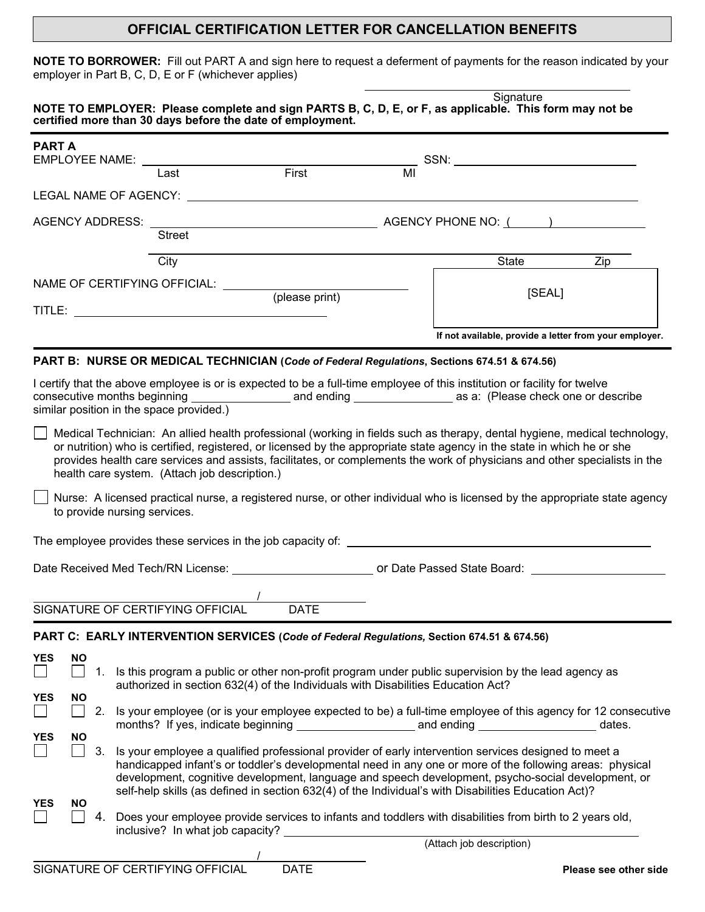## **OFFICIAL CERTIFICATION LETTER FOR CANCELLATION BENEFITS**

**NOTE TO BORROWER:** Fill out PART A and sign here to request a deferment of payments for the reason indicated by your employer in Part B, C, D, E or F (whichever applies)

|                                          |                                               |                                                                                             |    | Signature                                                                                                                                                                                                                                                                                                                                                                          |     |
|------------------------------------------|-----------------------------------------------|---------------------------------------------------------------------------------------------|----|------------------------------------------------------------------------------------------------------------------------------------------------------------------------------------------------------------------------------------------------------------------------------------------------------------------------------------------------------------------------------------|-----|
|                                          |                                               | certified more than 30 days before the date of employment.                                  |    | NOTE TO EMPLOYER: Please complete and sign PARTS B, C, D, E, or F, as applicable. This form may not be                                                                                                                                                                                                                                                                             |     |
| <b>PART A</b><br>EMPLOYEE NAME: NAME:    |                                               |                                                                                             |    | $SSN: \begin{tabular}{ c c c c } \hline \quad \quad & \quad \quad & \quad \quad & \quad \quad \\ \hline \end{tabular}$                                                                                                                                                                                                                                                             |     |
|                                          | Last                                          | First                                                                                       | MI |                                                                                                                                                                                                                                                                                                                                                                                    |     |
| LEGAL NAME OF AGENCY:                    |                                               |                                                                                             |    |                                                                                                                                                                                                                                                                                                                                                                                    |     |
|                                          |                                               |                                                                                             |    |                                                                                                                                                                                                                                                                                                                                                                                    |     |
|                                          | <b>Street</b>                                 |                                                                                             |    |                                                                                                                                                                                                                                                                                                                                                                                    |     |
|                                          | City                                          |                                                                                             |    | State                                                                                                                                                                                                                                                                                                                                                                              | Zip |
| NAME OF CERTIFYING OFFICIAL:             |                                               | (please print)                                                                              |    | [SEAL]                                                                                                                                                                                                                                                                                                                                                                             |     |
|                                          |                                               |                                                                                             |    |                                                                                                                                                                                                                                                                                                                                                                                    |     |
|                                          |                                               |                                                                                             |    | If not available, provide a letter from your employer.                                                                                                                                                                                                                                                                                                                             |     |
|                                          |                                               | PART B: NURSE OR MEDICAL TECHNICIAN (Code of Federal Regulations, Sections 674.51 & 674.56) |    |                                                                                                                                                                                                                                                                                                                                                                                    |     |
| similar position in the space provided.) |                                               |                                                                                             |    | I certify that the above employee is or is expected to be a full-time employee of this institution or facility for twelve                                                                                                                                                                                                                                                          |     |
|                                          | health care system. (Attach job description.) |                                                                                             |    | Medical Technician: An allied health professional (working in fields such as therapy, dental hygiene, medical technology,<br>or nutrition) who is certified, registered, or licensed by the appropriate state agency in the state in which he or she<br>provides health care services and assists, facilitates, or complements the work of physicians and other specialists in the |     |

Nurse: A licensed practical nurse, a registered nurse, or other individual who is licensed by the appropriate state agency to provide nursing services.

The employee provides these services in the job capacity of:

Date Received Med Tech/RN License: or Date Passed State Board:

 $\overline{\phantom{a}}$ SIGNATURE OF CERTIFYING OFFICIAL DATE

| PART C: EARLY INTERVENTION SERVICES (Code of Federal Regulations, Section 674.51 & 674.56) |
|--------------------------------------------------------------------------------------------|
|                                                                                            |

| <b>YES</b> | NO. |    |                                                                                                                                                                                         |
|------------|-----|----|-----------------------------------------------------------------------------------------------------------------------------------------------------------------------------------------|
|            |     |    | Is this program a public or other non-profit program under public supervision by the lead agency as<br>authorized in section 632(4) of the Individuals with Disabilities Education Act? |
| <b>YES</b> | NO. |    |                                                                                                                                                                                         |
|            |     |    | Is your employee (or is your employee expected to be) a full-time employee of this agency for 12 consecutive                                                                            |
| <b>YES</b> |     |    | dates.                                                                                                                                                                                  |
|            | NO. |    |                                                                                                                                                                                         |
|            |     | 3. | Is your employee a qualified professional provider of early intervention services designed to meet a                                                                                    |
|            |     |    | handicapped infant's or toddler's developmental need in any one or more of the following areas: physical                                                                                |
|            |     |    | development, cognitive development, language and speech development, psycho-social development, or                                                                                      |
|            |     |    | self-help skills (as defined in section 632(4) of the Individual's with Disabilities Education Act)?                                                                                    |
| <b>YES</b> | NO. |    |                                                                                                                                                                                         |
|            |     |    | Does your employee provide services to infants and toddlers with disabilities from birth to 2 years old,                                                                                |
|            |     |    | inclusive? In what job capacity?                                                                                                                                                        |
|            |     |    | (Attach job description)                                                                                                                                                                |
|            |     |    |                                                                                                                                                                                         |